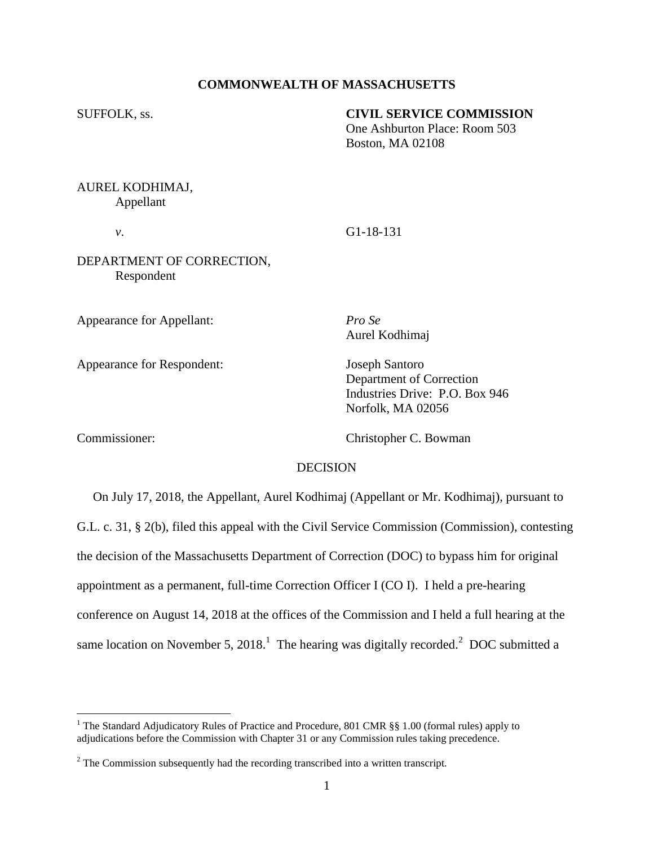## **COMMONWEALTH OF MASSACHUSETTS**

### SUFFOLK, ss. **CIVIL SERVICE COMMISSION**

One Ashburton Place: Room 503 Boston, MA 02108

# AUREL KODHIMAJ, Appellant

*v*. G1-18-131

DEPARTMENT OF CORRECTION, Respondent

Appearance for Appellant: *Pro Se*

Appearance for Respondent: Joseph Santoro

Aurel Kodhimaj

Department of Correction Industries Drive: P.O. Box 946 Norfolk, MA 02056

 $\overline{a}$ 

Commissioner: Christopher C. Bowman

### DECISION

 On July 17, 2018, the Appellant, Aurel Kodhimaj (Appellant or Mr. Kodhimaj), pursuant to G.L. c. 31, § 2(b), filed this appeal with the Civil Service Commission (Commission), contesting the decision of the Massachusetts Department of Correction (DOC) to bypass him for original appointment as a permanent, full-time Correction Officer I (CO I). I held a pre-hearing conference on August 14, 2018 at the offices of the Commission and I held a full hearing at the same location on November 5, 2018.<sup>1</sup> The hearing was digitally recorded.<sup>2</sup> DOC submitted a

<sup>&</sup>lt;sup>1</sup> The Standard Adjudicatory Rules of Practice and Procedure, 801 CMR §§ 1.00 (formal rules) apply to adjudications before the Commission with Chapter 31 or any Commission rules taking precedence.

 $2^2$  The Commission subsequently had the recording transcribed into a written transcript.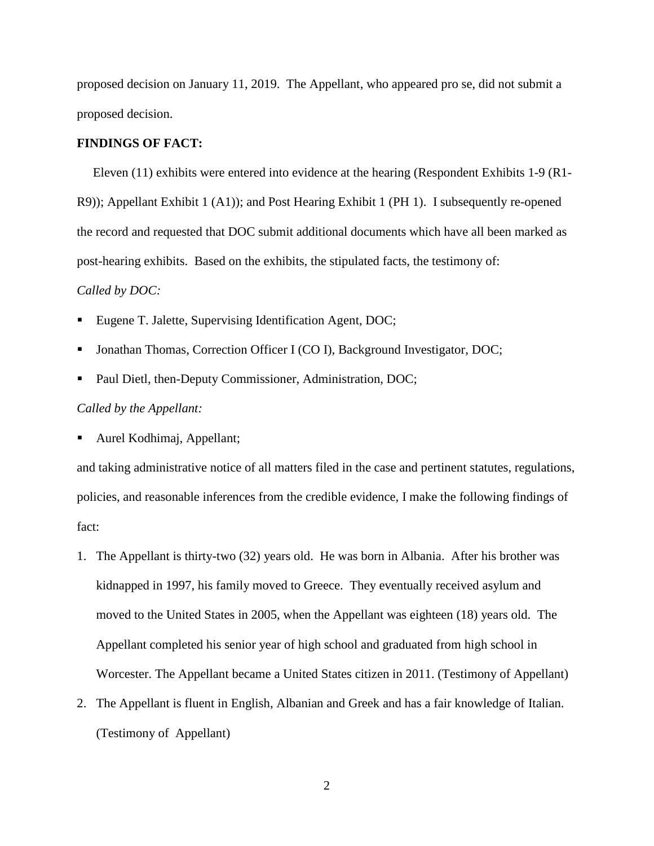proposed decision on January 11, 2019. The Appellant, who appeared pro se, did not submit a proposed decision.

## **FINDINGS OF FACT:**

Eleven (11) exhibits were entered into evidence at the hearing (Respondent Exhibits 1-9 (R1- R9)); Appellant Exhibit 1 (A1)); and Post Hearing Exhibit 1 (PH 1). I subsequently re-opened the record and requested that DOC submit additional documents which have all been marked as post-hearing exhibits. Based on the exhibits, the stipulated facts, the testimony of:

### *Called by DOC:*

- Eugene T. Jalette, Supervising Identification Agent, DOC;
- Jonathan Thomas, Correction Officer I (CO I), Background Investigator, DOC;
- Paul Dietl, then-Deputy Commissioner, Administration, DOC;

### *Called by the Appellant:*

Aurel Kodhimaj, Appellant;

and taking administrative notice of all matters filed in the case and pertinent statutes, regulations, policies, and reasonable inferences from the credible evidence, I make the following findings of fact:

- 1. The Appellant is thirty-two (32) years old. He was born in Albania. After his brother was kidnapped in 1997, his family moved to Greece. They eventually received asylum and moved to the United States in 2005, when the Appellant was eighteen (18) years old. The Appellant completed his senior year of high school and graduated from high school in Worcester. The Appellant became a United States citizen in 2011. (Testimony of Appellant)
- 2. The Appellant is fluent in English, Albanian and Greek and has a fair knowledge of Italian. (Testimony of Appellant)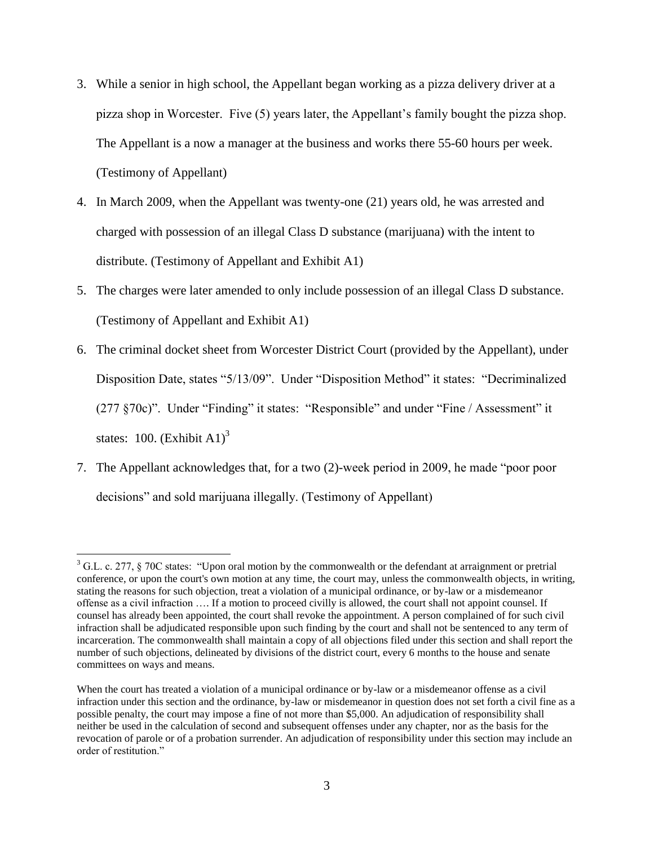- 3. While a senior in high school, the Appellant began working as a pizza delivery driver at a pizza shop in Worcester. Five (5) years later, the Appellant's family bought the pizza shop. The Appellant is a now a manager at the business and works there 55-60 hours per week. (Testimony of Appellant)
- 4. In March 2009, when the Appellant was twenty-one (21) years old, he was arrested and charged with possession of an illegal Class D substance (marijuana) with the intent to distribute. (Testimony of Appellant and Exhibit A1)
- 5. The charges were later amended to only include possession of an illegal Class D substance. (Testimony of Appellant and Exhibit A1)
- 6. The criminal docket sheet from Worcester District Court (provided by the Appellant), under Disposition Date, states "5/13/09". Under "Disposition Method" it states: "Decriminalized (277 §70c)". Under "Finding" it states: "Responsible" and under "Fine / Assessment" it states: 100.  $(Exhibit A1)<sup>3</sup>$
- 7. The Appellant acknowledges that, for a two (2)-week period in 2009, he made "poor poor decisions" and sold marijuana illegally. (Testimony of Appellant)

 $\overline{a}$ 

<sup>&</sup>lt;sup>3</sup> G.L. c. 277, § 70C states: "Upon oral motion by the commonwealth or the defendant at arraignment or pretrial conference, or upon the court's own motion at any time, the court may, unless the commonwealth objects, in writing, stating the reasons for such objection, treat a violation of a municipal ordinance, or by-law or a misdemeanor offense as a civil infraction …. If a motion to proceed civilly is allowed, the court shall not appoint counsel. If counsel has already been appointed, the court shall revoke the appointment. A person complained of for such civil infraction shall be adjudicated responsible upon such finding by the court and shall not be sentenced to any term of incarceration. The commonwealth shall maintain a copy of all objections filed under this section and shall report the number of such objections, delineated by divisions of the district court, every 6 months to the house and senate committees on ways and means.

When the court has treated a violation of a municipal ordinance or by-law or a misdemeanor offense as a civil infraction under this section and the ordinance, by-law or misdemeanor in question does not set forth a civil fine as a possible penalty, the court may impose a fine of not more than \$5,000. An adjudication of responsibility shall neither be used in the calculation of second and subsequent offenses under any chapter, nor as the basis for the revocation of parole or of a probation surrender. An adjudication of responsibility under this section may include an order of restitution."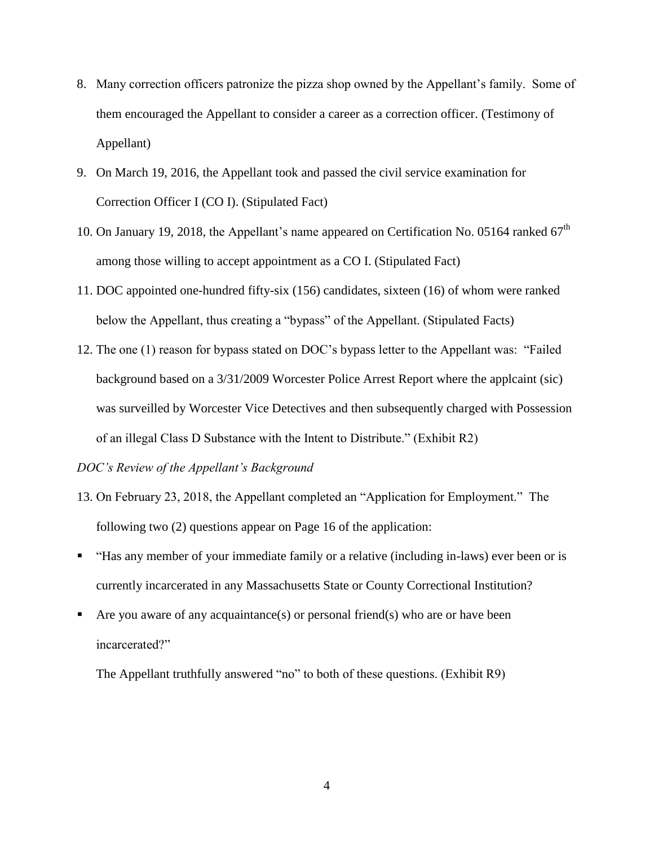- 8. Many correction officers patronize the pizza shop owned by the Appellant's family. Some of them encouraged the Appellant to consider a career as a correction officer. (Testimony of Appellant)
- 9. On March 19, 2016, the Appellant took and passed the civil service examination for Correction Officer I (CO I). (Stipulated Fact)
- 10. On January 19, 2018, the Appellant's name appeared on Certification No. 05164 ranked  $67<sup>th</sup>$ among those willing to accept appointment as a CO I. (Stipulated Fact)
- 11. DOC appointed one-hundred fifty-six (156) candidates, sixteen (16) of whom were ranked below the Appellant, thus creating a "bypass" of the Appellant. (Stipulated Facts)
- 12. The one (1) reason for bypass stated on DOC's bypass letter to the Appellant was: "Failed background based on a 3/31/2009 Worcester Police Arrest Report where the applcaint (sic) was surveilled by Worcester Vice Detectives and then subsequently charged with Possession of an illegal Class D Substance with the Intent to Distribute." (Exhibit R2)

*DOC's Review of the Appellant's Background*

- 13. On February 23, 2018, the Appellant completed an "Application for Employment." The following two (2) questions appear on Page 16 of the application:
- "Has any member of your immediate family or a relative (including in-laws) ever been or is currently incarcerated in any Massachusetts State or County Correctional Institution?
- Are you aware of any acquaintance(s) or personal friend(s) who are or have been incarcerated?"

The Appellant truthfully answered "no" to both of these questions. (Exhibit R9)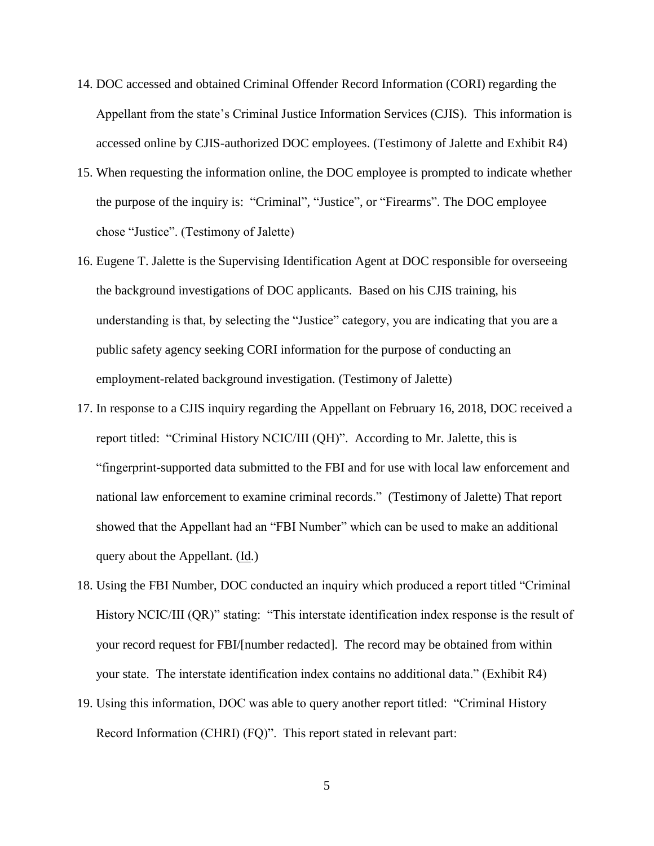- 14. DOC accessed and obtained Criminal Offender Record Information (CORI) regarding the Appellant from the state's Criminal Justice Information Services (CJIS). This information is accessed online by CJIS-authorized DOC employees. (Testimony of Jalette and Exhibit R4)
- 15. When requesting the information online, the DOC employee is prompted to indicate whether the purpose of the inquiry is: "Criminal", "Justice", or "Firearms". The DOC employee chose "Justice". (Testimony of Jalette)
- 16. Eugene T. Jalette is the Supervising Identification Agent at DOC responsible for overseeing the background investigations of DOC applicants. Based on his CJIS training, his understanding is that, by selecting the "Justice" category, you are indicating that you are a public safety agency seeking CORI information for the purpose of conducting an employment-related background investigation. (Testimony of Jalette)
- 17. In response to a CJIS inquiry regarding the Appellant on February 16, 2018, DOC received a report titled: "Criminal History NCIC/III (QH)". According to Mr. Jalette, this is "fingerprint-supported data submitted to the FBI and for use with local law enforcement and national law enforcement to examine criminal records." (Testimony of Jalette) That report showed that the Appellant had an "FBI Number" which can be used to make an additional query about the Appellant. (Id.)
- 18. Using the FBI Number, DOC conducted an inquiry which produced a report titled "Criminal History NCIC/III (QR)" stating: "This interstate identification index response is the result of your record request for FBI/[number redacted]. The record may be obtained from within your state. The interstate identification index contains no additional data." (Exhibit R4)
- 19. Using this information, DOC was able to query another report titled: "Criminal History Record Information (CHRI) (FQ)". This report stated in relevant part: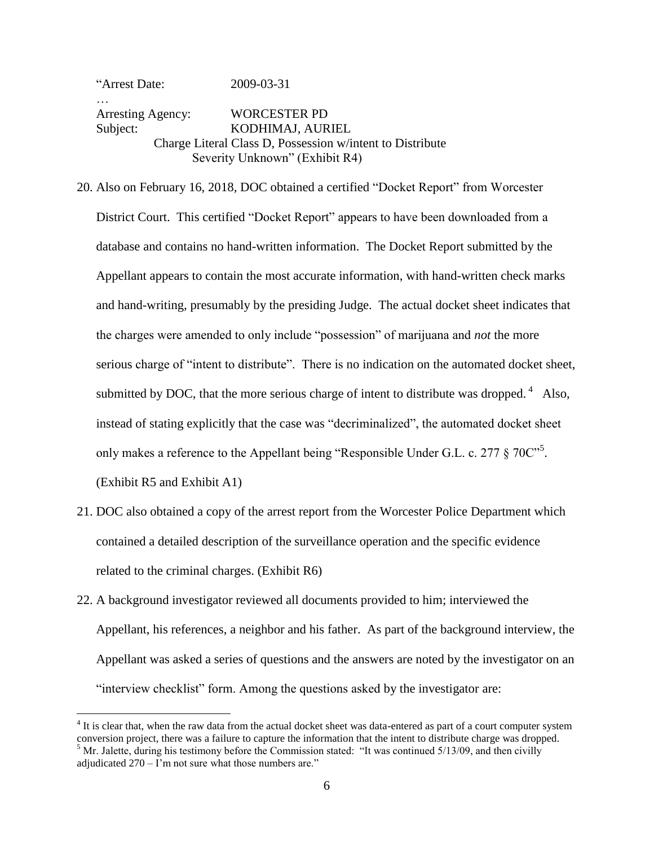"Arrest Date: 2009-03-31 … Arresting Agency: WORCESTER PD Subject: KODHIMAJ, AURIEL Charge Literal Class D, Possession w/intent to Distribute Severity Unknown" (Exhibit R4)

20. Also on February 16, 2018, DOC obtained a certified "Docket Report" from Worcester District Court. This certified "Docket Report" appears to have been downloaded from a database and contains no hand-written information. The Docket Report submitted by the Appellant appears to contain the most accurate information, with hand-written check marks and hand-writing, presumably by the presiding Judge. The actual docket sheet indicates that the charges were amended to only include "possession" of marijuana and *not* the more serious charge of "intent to distribute". There is no indication on the automated docket sheet, submitted by DOC, that the more serious charge of intent to distribute was dropped.<sup>4</sup> Also, instead of stating explicitly that the case was "decriminalized", the automated docket sheet only makes a reference to the Appellant being "Responsible Under G.L. c. 277  $\S 70C^{5}$ . (Exhibit R5 and Exhibit A1)

- 21. DOC also obtained a copy of the arrest report from the Worcester Police Department which contained a detailed description of the surveillance operation and the specific evidence related to the criminal charges. (Exhibit R6)
- 22. A background investigator reviewed all documents provided to him; interviewed the Appellant, his references, a neighbor and his father. As part of the background interview, the Appellant was asked a series of questions and the answers are noted by the investigator on an "interview checklist" form. Among the questions asked by the investigator are:

 $\overline{a}$ 

 $4$  It is clear that, when the raw data from the actual docket sheet was data-entered as part of a court computer system conversion project, there was a failure to capture the information that the intent to distribute charge was dropped.  $<sup>5</sup>$  Mr. Jalette, during his testimony before the Commission stated: "It was continued 5/13/09, and then civilly</sup> adjudicated  $270 - I$ 'm not sure what those numbers are."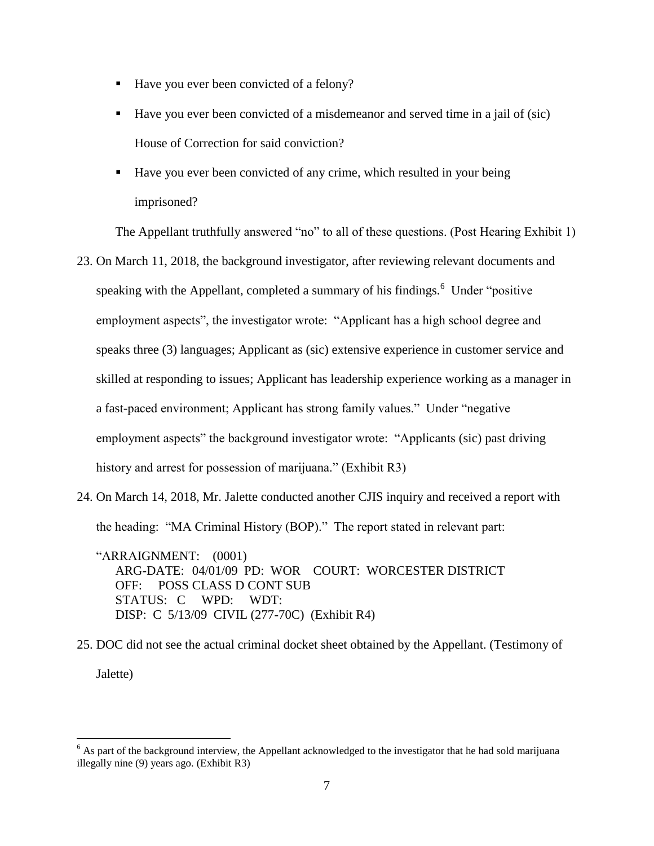- Have you ever been convicted of a felony?
- Have you ever been convicted of a misdemeanor and served time in a jail of (sic) House of Correction for said conviction?
- Have you ever been convicted of any crime, which resulted in your being imprisoned?

The Appellant truthfully answered "no" to all of these questions. (Post Hearing Exhibit 1)

- 23. On March 11, 2018, the background investigator, after reviewing relevant documents and speaking with the Appellant, completed a summary of his findings.<sup>6</sup> Under "positive" employment aspects", the investigator wrote: "Applicant has a high school degree and speaks three (3) languages; Applicant as (sic) extensive experience in customer service and skilled at responding to issues; Applicant has leadership experience working as a manager in a fast-paced environment; Applicant has strong family values." Under "negative employment aspects" the background investigator wrote: "Applicants (sic) past driving history and arrest for possession of marijuana." (Exhibit R3)
- 24. On March 14, 2018, Mr. Jalette conducted another CJIS inquiry and received a report with the heading: "MA Criminal History (BOP)." The report stated in relevant part:

"ARRAIGNMENT: (0001) ARG-DATE: 04/01/09 PD: WOR COURT: WORCESTER DISTRICT OFF: POSS CLASS D CONT SUB STATUS: C WPD: WDT: DISP: C 5/13/09 CIVIL (277-70C) (Exhibit R4)

25. DOC did not see the actual criminal docket sheet obtained by the Appellant. (Testimony of Jalette)

 $\overline{a}$ 

 $6$  As part of the background interview, the Appellant acknowledged to the investigator that he had sold marijuana illegally nine (9) years ago. (Exhibit R3)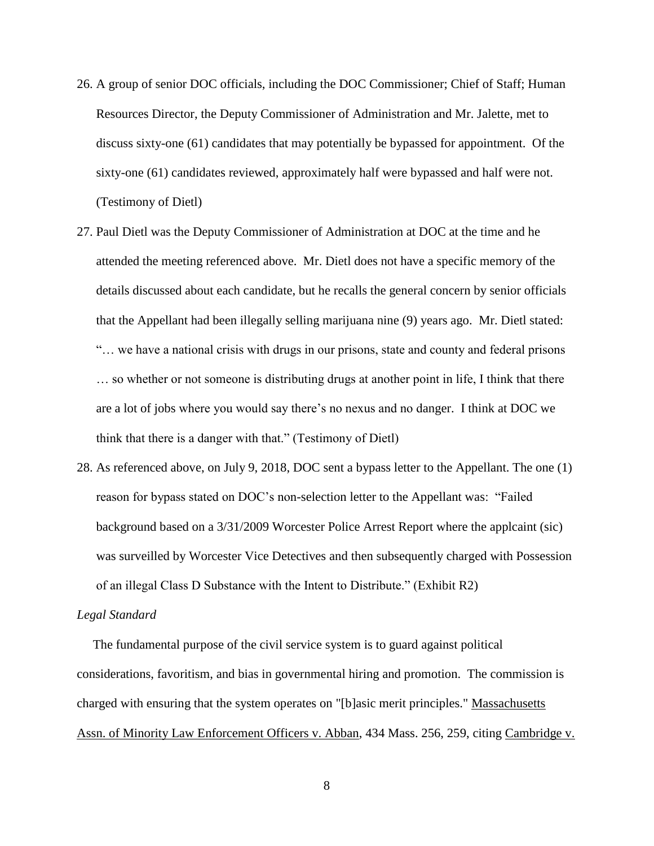- 26. A group of senior DOC officials, including the DOC Commissioner; Chief of Staff; Human Resources Director, the Deputy Commissioner of Administration and Mr. Jalette, met to discuss sixty-one (61) candidates that may potentially be bypassed for appointment. Of the sixty-one (61) candidates reviewed, approximately half were bypassed and half were not. (Testimony of Dietl)
- 27. Paul Dietl was the Deputy Commissioner of Administration at DOC at the time and he attended the meeting referenced above. Mr. Dietl does not have a specific memory of the details discussed about each candidate, but he recalls the general concern by senior officials that the Appellant had been illegally selling marijuana nine (9) years ago. Mr. Dietl stated: "… we have a national crisis with drugs in our prisons, state and county and federal prisons … so whether or not someone is distributing drugs at another point in life, I think that there are a lot of jobs where you would say there's no nexus and no danger. I think at DOC we think that there is a danger with that." (Testimony of Dietl)
- 28. As referenced above, on July 9, 2018, DOC sent a bypass letter to the Appellant. The one (1) reason for bypass stated on DOC's non-selection letter to the Appellant was: "Failed background based on a 3/31/2009 Worcester Police Arrest Report where the applcaint (sic) was surveilled by Worcester Vice Detectives and then subsequently charged with Possession of an illegal Class D Substance with the Intent to Distribute." (Exhibit R2)

#### *Legal Standard*

 The fundamental purpose of the civil service system is to guard against political considerations, favoritism, and bias in governmental hiring and promotion. The commission is charged with ensuring that the system operates on "[b]asic merit principles." Massachusetts Assn. of Minority Law Enforcement Officers v. Abban, 434 Mass. 256, 259, citing Cambridge v.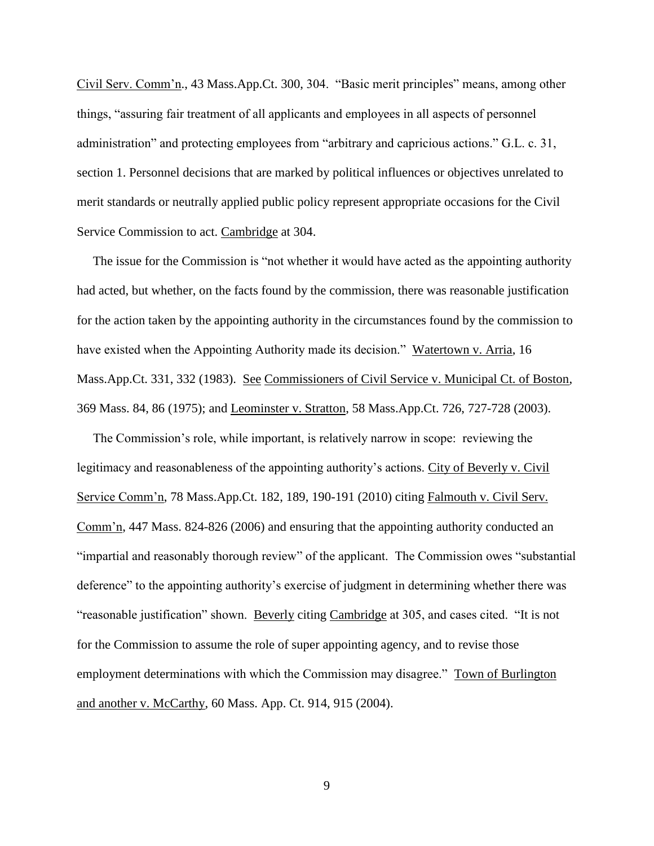Civil Serv. Comm'n., 43 Mass.App.Ct. 300, 304. "Basic merit principles" means, among other things, "assuring fair treatment of all applicants and employees in all aspects of personnel administration" and protecting employees from "arbitrary and capricious actions." G.L. c. 31, section 1. Personnel decisions that are marked by political influences or objectives unrelated to merit standards or neutrally applied public policy represent appropriate occasions for the Civil Service Commission to act. Cambridge at 304.

 The issue for the Commission is "not whether it would have acted as the appointing authority had acted, but whether, on the facts found by the commission, there was reasonable justification for the action taken by the appointing authority in the circumstances found by the commission to have existed when the Appointing Authority made its decision." Watertown v. Arria, 16 Mass.App.Ct. 331, 332 (1983). See Commissioners of Civil Service v. Municipal Ct. of Boston, 369 Mass. 84, 86 (1975); and Leominster v. Stratton, 58 Mass.App.Ct. 726, 727-728 (2003).

 The Commission's role, while important, is relatively narrow in scope: reviewing the legitimacy and reasonableness of the appointing authority's actions. City of Beverly v. Civil Service Comm'n, 78 Mass.App.Ct. 182, 189, 190-191 (2010) citing Falmouth v. Civil Serv. Comm'n, 447 Mass. 824-826 (2006) and ensuring that the appointing authority conducted an "impartial and reasonably thorough review" of the applicant. The Commission owes "substantial deference" to the appointing authority's exercise of judgment in determining whether there was "reasonable justification" shown. Beverly citing Cambridge at 305, and cases cited. "It is not for the Commission to assume the role of super appointing agency, and to revise those employment determinations with which the Commission may disagree." Town of Burlington and another v. McCarthy, 60 Mass. App. Ct. 914, 915 (2004).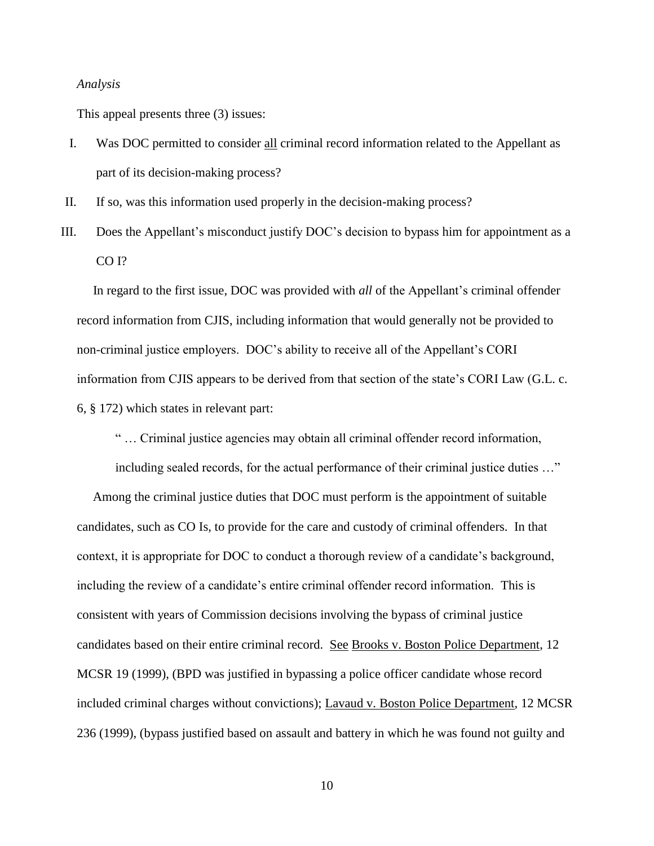#### *Analysis*

This appeal presents three (3) issues:

- I. Was DOC permitted to consider all criminal record information related to the Appellant as part of its decision-making process?
- II. If so, was this information used properly in the decision-making process?
- III. Does the Appellant's misconduct justify DOC's decision to bypass him for appointment as a CO I?

 In regard to the first issue, DOC was provided with *all* of the Appellant's criminal offender record information from CJIS, including information that would generally not be provided to non-criminal justice employers. DOC's ability to receive all of the Appellant's CORI information from CJIS appears to be derived from that section of the state's CORI Law (G.L. c. 6, § 172) which states in relevant part:

" … Criminal justice agencies may obtain all criminal offender record information,

including sealed records, for the actual performance of their criminal justice duties …"

 Among the criminal justice duties that DOC must perform is the appointment of suitable candidates, such as CO Is, to provide for the care and custody of criminal offenders. In that context, it is appropriate for DOC to conduct a thorough review of a candidate's background, including the review of a candidate's entire criminal offender record information. This is consistent with years of Commission decisions involving the bypass of criminal justice candidates based on their entire criminal record. See Brooks v. Boston Police Department, 12 MCSR 19 (1999), (BPD was justified in bypassing a police officer candidate whose record included criminal charges without convictions); Lavaud v. Boston Police Department, 12 MCSR 236 (1999), (bypass justified based on assault and battery in which he was found not guilty and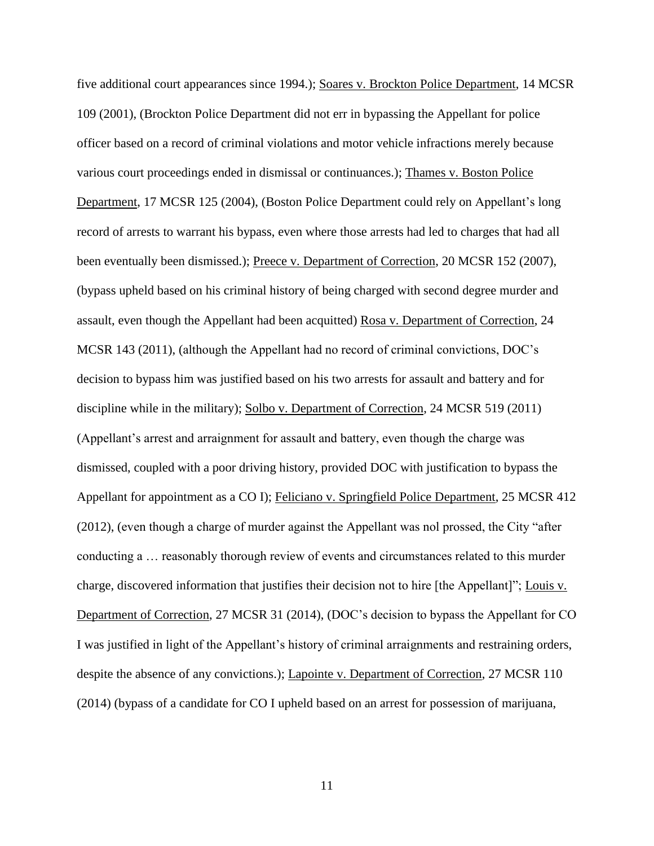five additional court appearances since 1994.); Soares v. Brockton Police Department, 14 MCSR 109 (2001), (Brockton Police Department did not err in bypassing the Appellant for police officer based on a record of criminal violations and motor vehicle infractions merely because various court proceedings ended in dismissal or continuances.); Thames v. Boston Police Department, 17 MCSR 125 (2004), (Boston Police Department could rely on Appellant's long record of arrests to warrant his bypass, even where those arrests had led to charges that had all been eventually been dismissed.); Preece v. Department of Correction, 20 MCSR 152 (2007), (bypass upheld based on his criminal history of being charged with second degree murder and assault, even though the Appellant had been acquitted) Rosa v. Department of Correction, 24 MCSR 143 (2011), (although the Appellant had no record of criminal convictions, DOC's decision to bypass him was justified based on his two arrests for assault and battery and for discipline while in the military); Solbo v. Department of Correction, 24 MCSR 519 (2011) (Appellant's arrest and arraignment for assault and battery, even though the charge was dismissed, coupled with a poor driving history, provided DOC with justification to bypass the Appellant for appointment as a CO I); Feliciano v. Springfield Police Department, 25 MCSR 412 (2012), (even though a charge of murder against the Appellant was nol prossed, the City "after conducting a … reasonably thorough review of events and circumstances related to this murder charge, discovered information that justifies their decision not to hire [the Appellant]"; Louis v. Department of Correction, 27 MCSR 31 (2014), (DOC's decision to bypass the Appellant for CO I was justified in light of the Appellant's history of criminal arraignments and restraining orders, despite the absence of any convictions.); Lapointe v. Department of Correction, 27 MCSR 110 (2014) (bypass of a candidate for CO I upheld based on an arrest for possession of marijuana,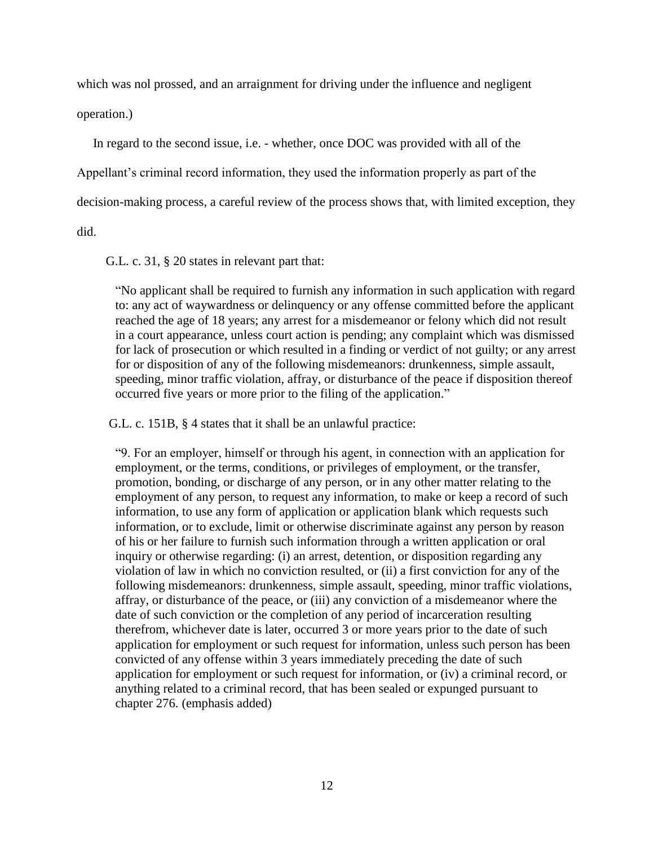which was not prossed, and an arraignment for driving under the influence and negligent

operation.)

In regard to the second issue, i.e. - whether, once DOC was provided with all of the

Appellant's criminal record information, they used the information properly as part of the

decision-making process, a careful review of the process shows that, with limited exception, they

did.

G.L. c. 31, § 20 states in relevant part that:

"No applicant shall be required to furnish any information in such application with regard to: any act of waywardness or delinquency or any offense committed before the applicant reached the age of 18 years; any arrest for a misdemeanor or felony which did not result in a court appearance, unless court action is pending; any complaint which was dismissed for lack of prosecution or which resulted in a finding or verdict of not guilty; or any arrest for or disposition of any of the following misdemeanors: drunkenness, simple assault, speeding, minor traffic violation, affray, or disturbance of the peace if disposition thereof occurred five years or more prior to the filing of the application."

G.L. c. 151B, § 4 states that it shall be an unlawful practice:

"9. For an employer, himself or through his agent, in connection with an application for employment, or the terms, conditions, or privileges of employment, or the transfer, promotion, bonding, or discharge of any person, or in any other matter relating to the employment of any person, to request any information, to make or keep a record of such information, to use any form of application or application blank which requests such information, or to exclude, limit or otherwise discriminate against any person by reason of his or her failure to furnish such information through a written application or oral inquiry or otherwise regarding: (i) an arrest, detention, or disposition regarding any violation of law in which no conviction resulted, or (ii) a first conviction for any of the following misdemeanors: drunkenness, simple assault, speeding, minor traffic violations, affray, or disturbance of the peace, or (iii) any conviction of a misdemeanor where the date of such conviction or the completion of any period of incarceration resulting therefrom, whichever date is later, occurred 3 or more years prior to the date of such application for employment or such request for information, unless such person has been convicted of any offense within 3 years immediately preceding the date of such application for employment or such request for information, or (iv) a criminal record, or anything related to a criminal record, that has been sealed or expunged pursuant to chapter 276. (emphasis added)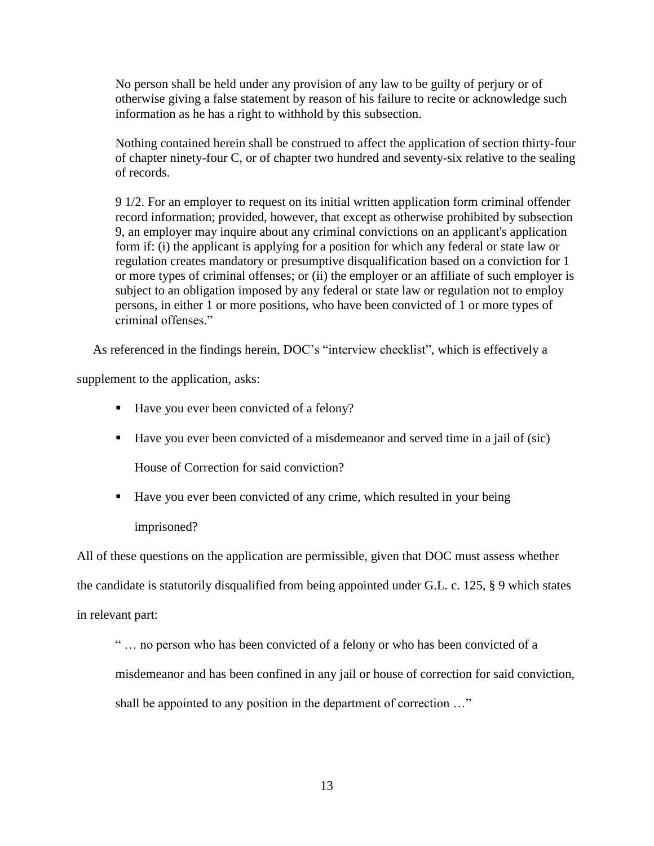No person shall be held under any provision of any law to be guilty of perjury or of otherwise giving a false statement by reason of his failure to recite or acknowledge such information as he has a right to withhold by this subsection.

Nothing contained herein shall be construed to affect the application of section thirty-four of chapter ninety-four C, or of chapter two hundred and seventy-six relative to the sealing of records.

9 1/2. For an employer to request on its initial written application form criminal offender record information; provided, however, that except as otherwise prohibited by subsection 9, an employer may inquire about any criminal convictions on an applicant's application form if: (i) the applicant is applying for a position for which any federal or state law or regulation creates mandatory or presumptive disqualification based on a conviction for 1 or more types of criminal offenses; or (ii) the employer or an affiliate of such employer is subject to an obligation imposed by any federal or state law or regulation not to employ persons, in either 1 or more positions, who have been convicted of 1 or more types of criminal offenses."

As referenced in the findings herein, DOC's "interview checklist", which is effectively a

supplement to the application, asks:

- Have you ever been convicted of a felony?
- Have you ever been convicted of a misdemeanor and served time in a jail of (sic)

House of Correction for said conviction?

■ Have you ever been convicted of any crime, which resulted in your being imprisoned?

All of these questions on the application are permissible, given that DOC must assess whether the candidate is statutorily disqualified from being appointed under G.L. c. 125, § 9 which states in relevant part:

" … no person who has been convicted of a felony or who has been convicted of a misdemeanor and has been confined in any jail or house of correction for said conviction, shall be appointed to any position in the department of correction …"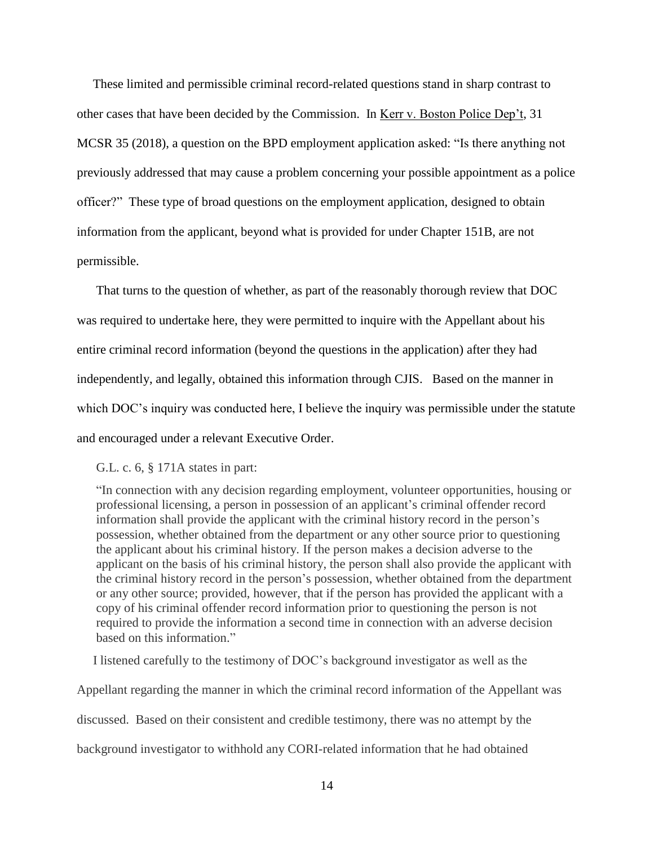These limited and permissible criminal record-related questions stand in sharp contrast to other cases that have been decided by the Commission. In Kerr v. Boston Police Dep't, 31 MCSR 35 (2018), a question on the BPD employment application asked: "Is there anything not previously addressed that may cause a problem concerning your possible appointment as a police officer?" These type of broad questions on the employment application, designed to obtain information from the applicant, beyond what is provided for under Chapter 151B, are not permissible.

That turns to the question of whether, as part of the reasonably thorough review that DOC was required to undertake here, they were permitted to inquire with the Appellant about his entire criminal record information (beyond the questions in the application) after they had independently, and legally, obtained this information through CJIS. Based on the manner in which DOC's inquiry was conducted here. I believe the inquiry was permissible under the statute and encouraged under a relevant Executive Order.

#### G.L. c. 6, § 171A states in part:

"In connection with any decision regarding employment, volunteer opportunities, housing or professional licensing, a person in possession of an applicant's criminal offender record information shall provide the applicant with the criminal history record in the person's possession, whether obtained from the department or any other source prior to questioning the applicant about his criminal history. If the person makes a decision adverse to the applicant on the basis of his criminal history, the person shall also provide the applicant with the criminal history record in the person's possession, whether obtained from the department or any other source; provided, however, that if the person has provided the applicant with a copy of his criminal offender record information prior to questioning the person is not required to provide the information a second time in connection with an adverse decision based on this information."

 I listened carefully to the testimony of DOC's background investigator as well as the Appellant regarding the manner in which the criminal record information of the Appellant was discussed. Based on their consistent and credible testimony, there was no attempt by the background investigator to withhold any CORI-related information that he had obtained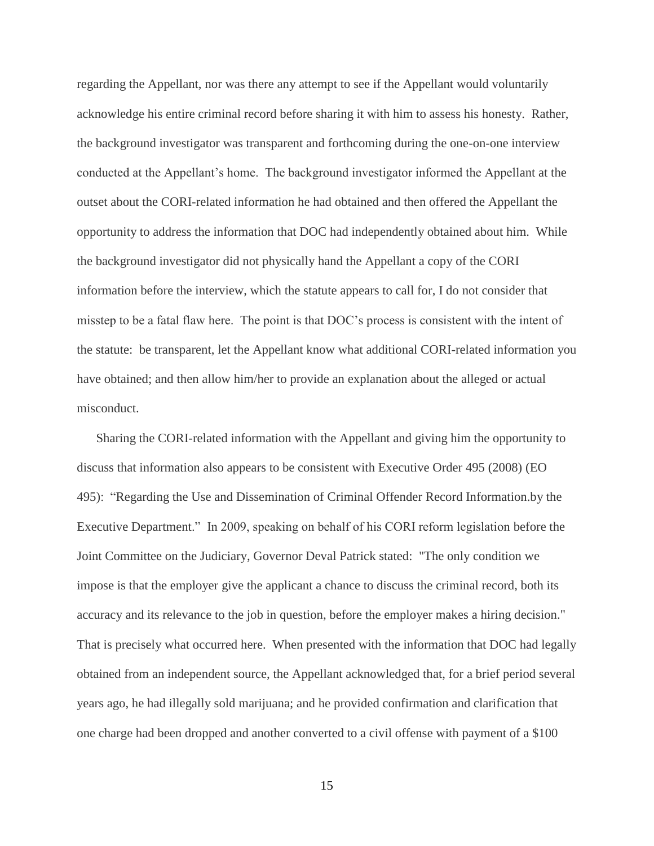regarding the Appellant, nor was there any attempt to see if the Appellant would voluntarily acknowledge his entire criminal record before sharing it with him to assess his honesty. Rather, the background investigator was transparent and forthcoming during the one-on-one interview conducted at the Appellant's home. The background investigator informed the Appellant at the outset about the CORI-related information he had obtained and then offered the Appellant the opportunity to address the information that DOC had independently obtained about him. While the background investigator did not physically hand the Appellant a copy of the CORI information before the interview, which the statute appears to call for, I do not consider that misstep to be a fatal flaw here. The point is that DOC's process is consistent with the intent of the statute: be transparent, let the Appellant know what additional CORI-related information you have obtained; and then allow him/her to provide an explanation about the alleged or actual misconduct.

 Sharing the CORI-related information with the Appellant and giving him the opportunity to discuss that information also appears to be consistent with Executive Order 495 (2008) (EO 495): "Regarding the Use and Dissemination of Criminal Offender Record Information.by the Executive Department." In 2009, speaking on behalf of his CORI reform legislation before the Joint Committee on the Judiciary, Governor Deval Patrick stated: "The only condition we impose is that the employer give the applicant a chance to discuss the criminal record, both its accuracy and its relevance to the job in question, before the employer makes a hiring decision." That is precisely what occurred here. When presented with the information that DOC had legally obtained from an independent source, the Appellant acknowledged that, for a brief period several years ago, he had illegally sold marijuana; and he provided confirmation and clarification that one charge had been dropped and another converted to a civil offense with payment of a \$100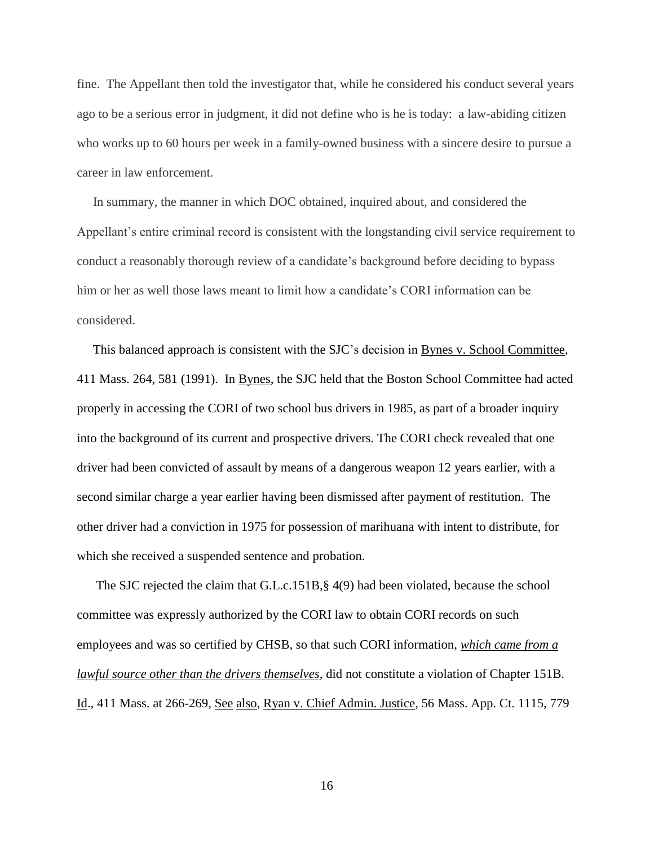fine. The Appellant then told the investigator that, while he considered his conduct several years ago to be a serious error in judgment, it did not define who is he is today: a law-abiding citizen who works up to 60 hours per week in a family-owned business with a sincere desire to pursue a career in law enforcement.

 In summary, the manner in which DOC obtained, inquired about, and considered the Appellant's entire criminal record is consistent with the longstanding civil service requirement to conduct a reasonably thorough review of a candidate's background before deciding to bypass him or her as well those laws meant to limit how a candidate's CORI information can be considered.

 This balanced approach is consistent with the SJC's decision in Bynes v. School Committee, 411 Mass. 264, 581 (1991). In Bynes, the SJC held that the Boston School Committee had acted properly in accessing the CORI of two school bus drivers in 1985, as part of a broader inquiry into the background of its current and prospective drivers. The CORI check revealed that one driver had been convicted of assault by means of a dangerous weapon 12 years earlier, with a second similar charge a year earlier having been dismissed after payment of restitution. The other driver had a conviction in 1975 for possession of marihuana with intent to distribute, for which she received a suspended sentence and probation.

The SJC rejected the claim that G.L.c.151B,§ 4(9) had been violated, because the school committee was expressly authorized by the CORI law to obtain CORI records on such employees and was so certified by CHSB, so that such CORI information, *which came from a lawful source other than the drivers themselves*, did not constitute a violation of Chapter 151B. Id., 411 Mass. at 266-269, See also, Ryan v. Chief Admin. Justice, 56 Mass. App. Ct. 1115, 779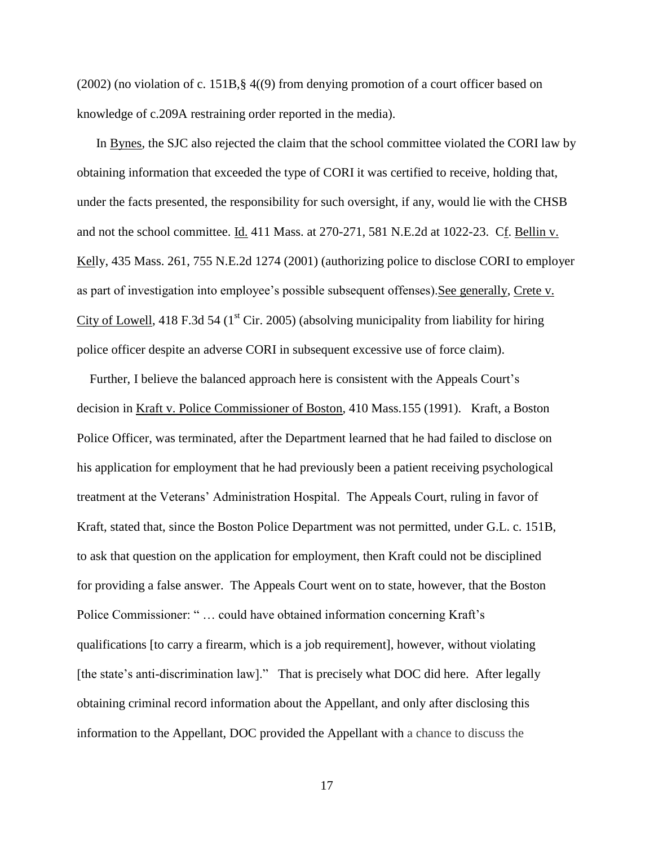(2002) (no violation of c. 151B,§ 4((9) from denying promotion of a court officer based on knowledge of c.209A restraining order reported in the media).

In Bynes, the SJC also rejected the claim that the school committee violated the CORI law by obtaining information that exceeded the type of CORI it was certified to receive, holding that, under the facts presented, the responsibility for such oversight, if any, would lie with the CHSB and not the school committee. Id. 411 Mass. at 270-271, 581 N.E.2d at 1022-23. Cf. Bellin v. Kelly, 435 Mass. 261, 755 N.E.2d 1274 (2001) (authorizing police to disclose CORI to employer as part of investigation into employee's possible subsequent offenses). See generally, Crete v. City of Lowell, 418 F.3d 54 ( $1<sup>st</sup>$  Cir. 2005) (absolving municipality from liability for hiring police officer despite an adverse CORI in subsequent excessive use of force claim).

 Further, I believe the balanced approach here is consistent with the Appeals Court's decision in Kraft v. Police Commissioner of Boston, 410 Mass.155 (1991). Kraft, a Boston Police Officer, was terminated, after the Department learned that he had failed to disclose on his application for employment that he had previously been a patient receiving psychological treatment at the Veterans' Administration Hospital. The Appeals Court, ruling in favor of Kraft, stated that, since the Boston Police Department was not permitted, under G.L. c. 151B, to ask that question on the application for employment, then Kraft could not be disciplined for providing a false answer. The Appeals Court went on to state, however, that the Boston Police Commissioner: " … could have obtained information concerning Kraft's qualifications [to carry a firearm, which is a job requirement], however, without violating [the state's anti-discrimination law]." That is precisely what DOC did here. After legally obtaining criminal record information about the Appellant, and only after disclosing this information to the Appellant, DOC provided the Appellant with a chance to discuss the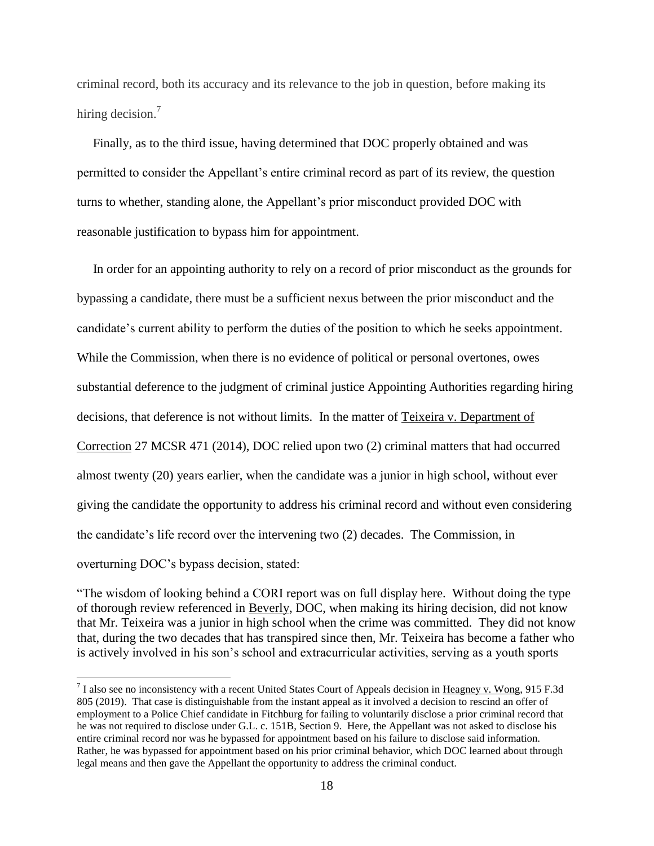criminal record, both its accuracy and its relevance to the job in question, before making its hiring decision.<sup>7</sup>

 Finally, as to the third issue, having determined that DOC properly obtained and was permitted to consider the Appellant's entire criminal record as part of its review, the question turns to whether, standing alone, the Appellant's prior misconduct provided DOC with reasonable justification to bypass him for appointment.

 In order for an appointing authority to rely on a record of prior misconduct as the grounds for bypassing a candidate, there must be a sufficient nexus between the prior misconduct and the candidate's current ability to perform the duties of the position to which he seeks appointment. While the Commission, when there is no evidence of political or personal overtones, owes substantial deference to the judgment of criminal justice Appointing Authorities regarding hiring decisions, that deference is not without limits. In the matter of Teixeira v. Department of Correction 27 MCSR 471 (2014), DOC relied upon two (2) criminal matters that had occurred almost twenty (20) years earlier, when the candidate was a junior in high school, without ever giving the candidate the opportunity to address his criminal record and without even considering the candidate's life record over the intervening two (2) decades. The Commission, in overturning DOC's bypass decision, stated:

"The wisdom of looking behind a CORI report was on full display here. Without doing the type of thorough review referenced in Beverly, DOC, when making its hiring decision, did not know that Mr. Teixeira was a junior in high school when the crime was committed. They did not know that, during the two decades that has transpired since then, Mr. Teixeira has become a father who is actively involved in his son's school and extracurricular activities, serving as a youth sports

 $\overline{a}$ 

 $^7$  I also see no inconsistency with a recent United States Court of Appeals decision in Heagney v. Wong, 915 F.3d 805 (2019). That case is distinguishable from the instant appeal as it involved a decision to rescind an offer of employment to a Police Chief candidate in Fitchburg for failing to voluntarily disclose a prior criminal record that he was not required to disclose under G.L. c. 151B, Section 9. Here, the Appellant was not asked to disclose his entire criminal record nor was he bypassed for appointment based on his failure to disclose said information. Rather, he was bypassed for appointment based on his prior criminal behavior, which DOC learned about through legal means and then gave the Appellant the opportunity to address the criminal conduct.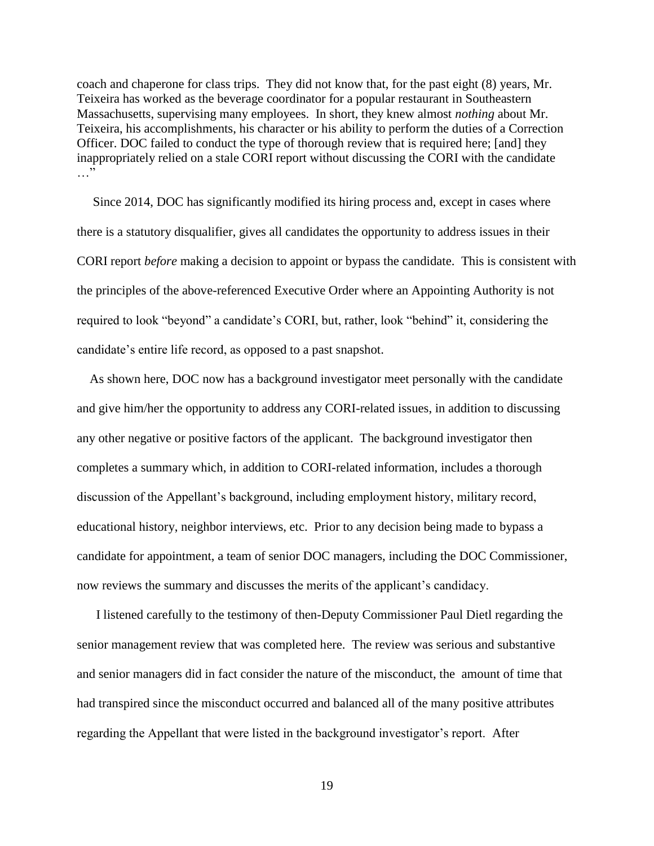coach and chaperone for class trips. They did not know that, for the past eight (8) years, Mr. Teixeira has worked as the beverage coordinator for a popular restaurant in Southeastern Massachusetts, supervising many employees. In short, they knew almost *nothing* about Mr. Teixeira, his accomplishments, his character or his ability to perform the duties of a Correction Officer. DOC failed to conduct the type of thorough review that is required here; [and] they inappropriately relied on a stale CORI report without discussing the CORI with the candidate  $\cdots$ 

 Since 2014, DOC has significantly modified its hiring process and, except in cases where there is a statutory disqualifier, gives all candidates the opportunity to address issues in their CORI report *before* making a decision to appoint or bypass the candidate. This is consistent with the principles of the above-referenced Executive Order where an Appointing Authority is not required to look "beyond" a candidate's CORI, but, rather, look "behind" it, considering the candidate's entire life record, as opposed to a past snapshot.

 As shown here, DOC now has a background investigator meet personally with the candidate and give him/her the opportunity to address any CORI-related issues, in addition to discussing any other negative or positive factors of the applicant. The background investigator then completes a summary which, in addition to CORI-related information, includes a thorough discussion of the Appellant's background, including employment history, military record, educational history, neighbor interviews, etc. Prior to any decision being made to bypass a candidate for appointment, a team of senior DOC managers, including the DOC Commissioner, now reviews the summary and discusses the merits of the applicant's candidacy.

 I listened carefully to the testimony of then-Deputy Commissioner Paul Dietl regarding the senior management review that was completed here. The review was serious and substantive and senior managers did in fact consider the nature of the misconduct, the amount of time that had transpired since the misconduct occurred and balanced all of the many positive attributes regarding the Appellant that were listed in the background investigator's report. After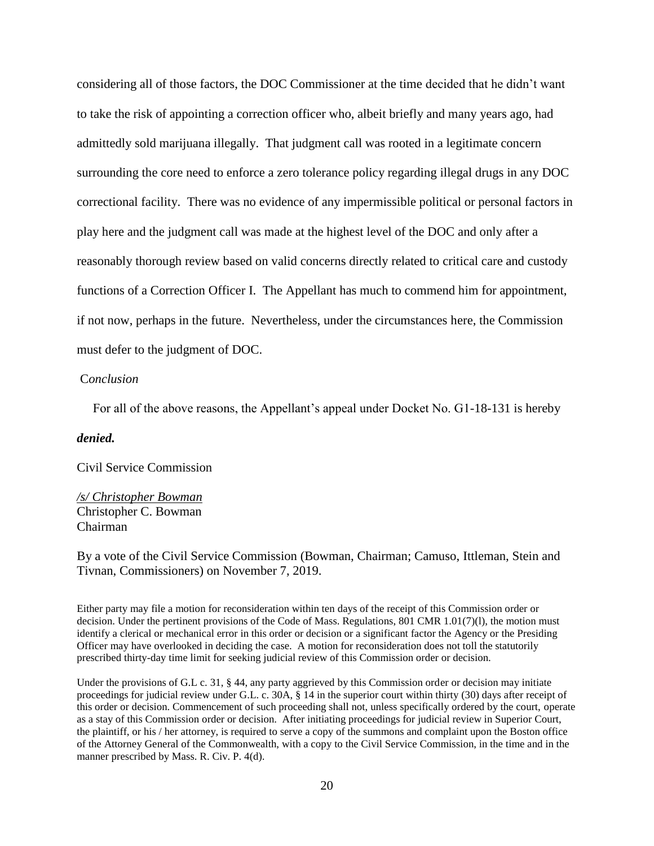considering all of those factors, the DOC Commissioner at the time decided that he didn't want to take the risk of appointing a correction officer who, albeit briefly and many years ago, had admittedly sold marijuana illegally. That judgment call was rooted in a legitimate concern surrounding the core need to enforce a zero tolerance policy regarding illegal drugs in any DOC correctional facility. There was no evidence of any impermissible political or personal factors in play here and the judgment call was made at the highest level of the DOC and only after a reasonably thorough review based on valid concerns directly related to critical care and custody functions of a Correction Officer I. The Appellant has much to commend him for appointment, if not now, perhaps in the future. Nevertheless, under the circumstances here, the Commission must defer to the judgment of DOC.

### C*onclusion*

For all of the above reasons, the Appellant's appeal under Docket No. G1-18-131 is hereby

### *denied.*

Civil Service Commission

## */s/ Christopher Bowman* Christopher C. Bowman Chairman

By a vote of the Civil Service Commission (Bowman, Chairman; Camuso, Ittleman, Stein and Tivnan, Commissioners) on November 7, 2019.

Either party may file a motion for reconsideration within ten days of the receipt of this Commission order or decision. Under the pertinent provisions of the Code of Mass. Regulations, 801 CMR 1.01(7)(l), the motion must identify a clerical or mechanical error in this order or decision or a significant factor the Agency or the Presiding Officer may have overlooked in deciding the case. A motion for reconsideration does not toll the statutorily prescribed thirty-day time limit for seeking judicial review of this Commission order or decision.

Under the provisions of G.L c. 31, § 44, any party aggrieved by this Commission order or decision may initiate proceedings for judicial review under G.L. c. 30A, § 14 in the superior court within thirty (30) days after receipt of this order or decision. Commencement of such proceeding shall not, unless specifically ordered by the court, operate as a stay of this Commission order or decision. After initiating proceedings for judicial review in Superior Court, the plaintiff, or his / her attorney, is required to serve a copy of the summons and complaint upon the Boston office of the Attorney General of the Commonwealth, with a copy to the Civil Service Commission, in the time and in the manner prescribed by Mass. R. Civ. P. 4(d).